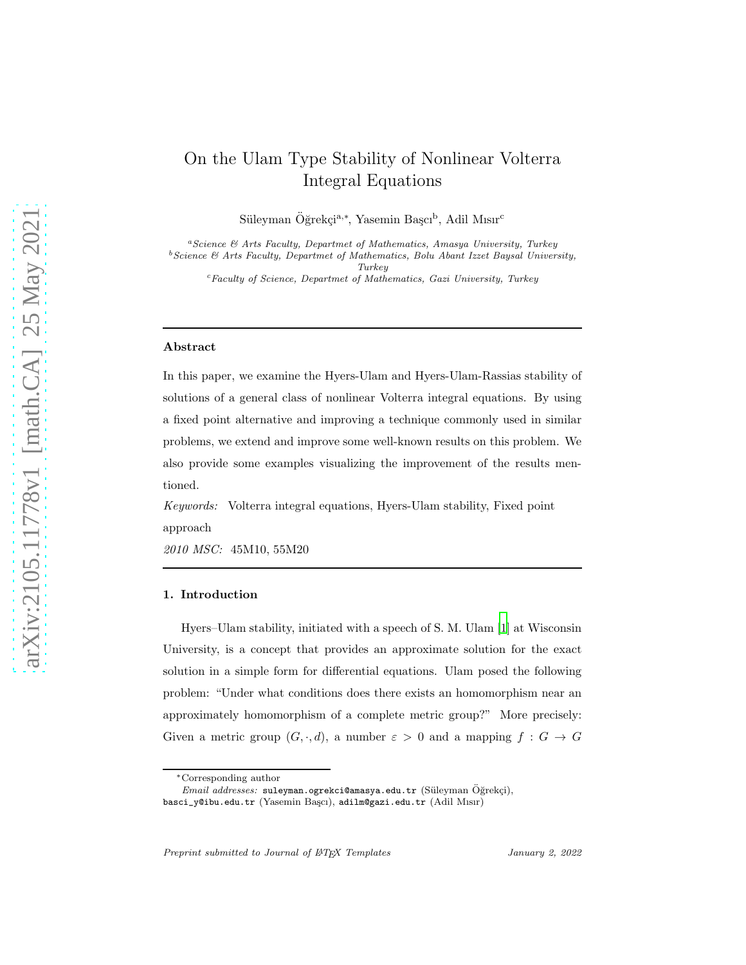# On the Ulam Type Stability of Nonlinear Volterra Integral Equations

Süleyman Öğrekçi<sup>a,∗</sup>, Yasemin Başcı<sup>b</sup>, Adil Mısır<sup>c</sup>

 $a$ Science  $\mathcal{B}$  Arts Faculty, Departmet of Mathematics, Amasya University, Turkey  $^{b}$  Science  $\&$  Arts Faculty, Departmet of Mathematics, Bolu Abant Izzet Baysal University, Turkey

 $c$ Faculty of Science, Departmet of Mathematics, Gazi University, Turkey

#### Abstract

In this paper, we examine the Hyers-Ulam and Hyers-Ulam-Rassias stability of solutions of a general class of nonlinear Volterra integral equations. By using a fixed point alternative and improving a technique commonly used in similar problems, we extend and improve some well-known results on this problem. We also provide some examples visualizing the improvement of the results mentioned.

*Keywords:* Volterra integral equations, Hyers-Ulam stability, Fixed point approach

*2010 MSC:* 45M10, 55M20

### 1. Introduction

Hyers–Ulam stability, initiated with a speech of S. M. Ulam [\[1](#page-11-0)] at Wisconsin University, is a concept that provides an approximate solution for the exact solution in a simple form for differential equations. Ulam posed the following problem: "Under what conditions does there exists an homomorphism near an approximately homomorphism of a complete metric group?" More precisely: Given a metric group  $(G, \cdot, d)$ , a number  $\varepsilon > 0$  and a mapping  $f : G \to G$ 

<sup>∗</sup>Corresponding author

Email addresses: suleyman.ogrekci@amasya.edu.tr (Süleyman Öğrekçi), basci\_y@ibu.edu.tr (Yasemin Ba¸scı), adilm@gazi.edu.tr (Adil Mısır)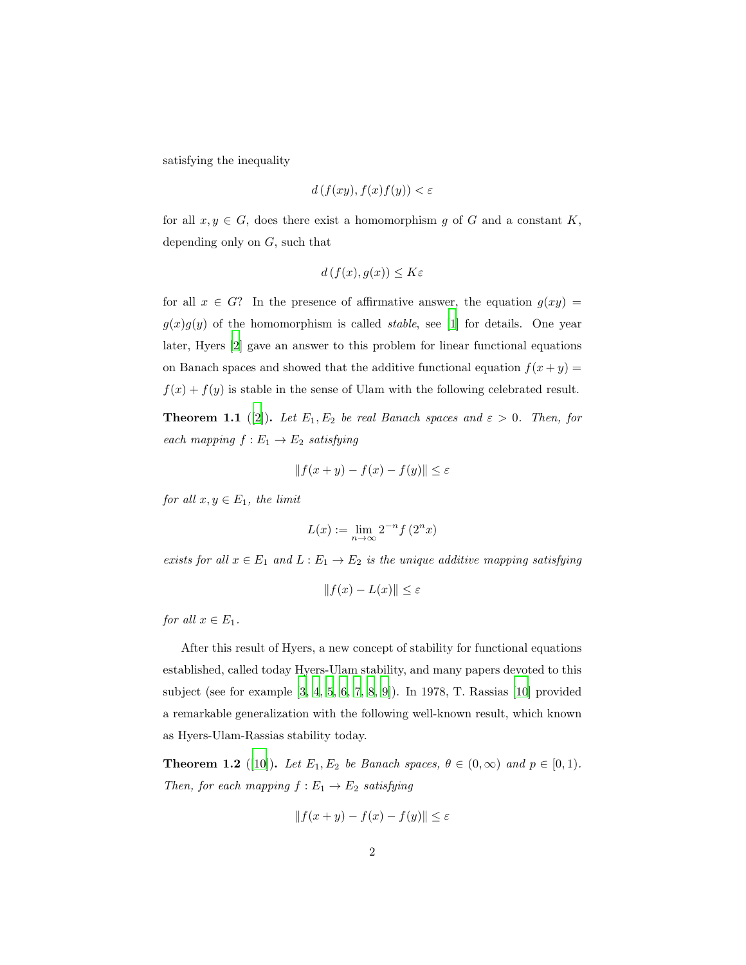satisfying the inequality

$$
d(f(xy), f(x)f(y)) < \varepsilon
$$

for all  $x, y \in G$ , does there exist a homomorphism g of G and a constant K, depending only on G, such that

$$
d(f(x), g(x)) \le K\varepsilon
$$

for all  $x \in G$ ? In the presence of affirmative answer, the equation  $g(xy) =$  $g(x)g(y)$  of the homomorphism is called *stable*, see [\[1\]](#page-11-0) for details. One year later, Hyers [\[2\]](#page-12-0) gave an answer to this problem for linear functional equations on Banach spaces and showed that the additive functional equation  $f(x + y) =$  $f(x) + f(y)$  is stable in the sense of Ulam with the following celebrated result.

**Theorem 1.1** ([\[2](#page-12-0)]). Let  $E_1, E_2$  be real Banach spaces and  $\varepsilon > 0$ . Then, for *each mapping*  $f: E_1 \rightarrow E_2$  *satisfying* 

$$
||f(x + y) - f(x) - f(y)|| \le \varepsilon
$$

*for all*  $x, y \in E_1$ *, the limit* 

$$
L(x):=\lim_{n\to\infty}2^{-n}f\left(2^nx\right)
$$

*exists for all*  $x \in E_1$  *and*  $L: E_1 \to E_2$  *is the unique additive mapping satisfying* 

$$
||f(x) - L(x)|| \le \varepsilon
$$

*for all*  $x \in E_1$ *.* 

After this result of Hyers, a new concept of stability for functional equations established, called today Hyers-Ulam stability, and many papers devoted to this subject (see for example [\[3](#page-12-1), [4](#page-12-2), [5,](#page-12-3) [6,](#page-12-4) [7](#page-12-5), [8](#page-12-6), [9\]](#page-12-7)). In 1978, T. Rassias [\[10\]](#page-12-8) provided a remarkable generalization with the following well-known result, which known as Hyers-Ulam-Rassias stability today.

**Theorem 1.2** ([\[10\]](#page-12-8)). *Let*  $E_1, E_2$  *be Banach spaces,*  $\theta \in (0, \infty)$  *and*  $p \in [0, 1)$ *. Then, for each mapping*  $f: E_1 \rightarrow E_2$  *satisfying* 

$$
||f(x + y) - f(x) - f(y)|| \le \varepsilon
$$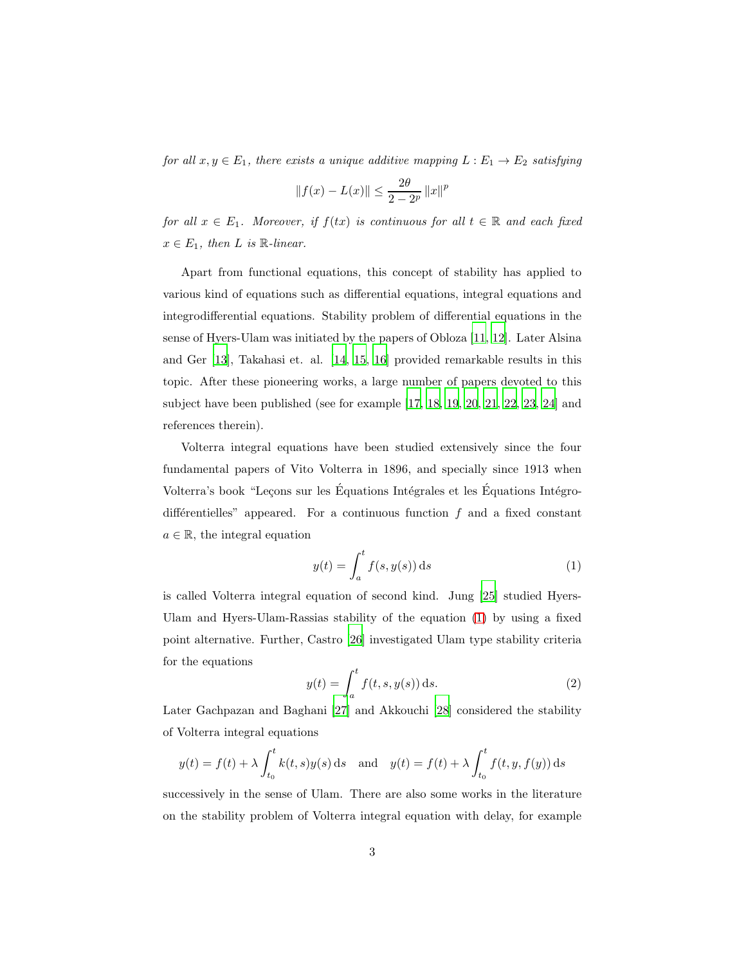*for all*  $x, y \in E_1$ *, there exists a unique additive mapping*  $L : E_1 \to E_2$  *satisfying* 

$$
||f(x) - L(x)|| \le \frac{2\theta}{2 - 2^p} ||x||^p
$$

*for all*  $x \in E_1$ *. Moreover, if*  $f(tx)$  *is continuous for all*  $t \in \mathbb{R}$  *and each fixed*  $x \in E_1$ , then L is  $\mathbb{R}$ *-linear.* 

Apart from functional equations, this concept of stability has applied to various kind of equations such as differential equations, integral equations and integrodifferential equations. Stability problem of differential equations in the sense of Hyers-Ulam was initiated by the papers of Obloza [\[11,](#page-12-9) [12](#page-13-0)]. Later Alsina and Ger [\[13](#page-13-1)], Takahasi et. al. [\[14](#page-13-2), [15,](#page-13-3) [16](#page-13-4)] provided remarkable results in this topic. After these pioneering works, a large number of papers devoted to this subject have been published (see for example [\[17,](#page-13-5) [18,](#page-13-6) [19,](#page-13-7) [20,](#page-13-8) [21](#page-13-9), [22,](#page-14-0) [23,](#page-14-1) [24\]](#page-14-2) and references therein).

Volterra integral equations have been studied extensively since the four fundamental papers of Vito Volterra in 1896, and specially since 1913 when Volterra's book "Leçons sur les Équations Intégrales et les Équations Intégrodifferentielles" appeared. For a continuous function  $f$  and a fixed constant  $a \in \mathbb{R}$ , the integral equation

<span id="page-2-0"></span>
$$
y(t) = \int_{a}^{t} f(s, y(s)) \, ds \tag{1}
$$

is called Volterra integral equation of second kind. Jung [\[25](#page-14-3)] studied Hyers-Ulam and Hyers-Ulam-Rassias stability of the equation [\(1\)](#page-2-0) by using a fixed point alternative. Further, Castro [\[26](#page-14-4)] investigated Ulam type stability criteria for the equations

<span id="page-2-1"></span>
$$
y(t) = \int_{a}^{t} f(t, s, y(s)) \, ds. \tag{2}
$$

Later Gachpazan and Baghani [\[27\]](#page-14-5) and Akkouchi [\[28\]](#page-14-6) considered the stability of Volterra integral equations

$$
y(t) = f(t) + \lambda \int_{t_0}^t k(t, s) y(s) ds
$$
 and  $y(t) = f(t) + \lambda \int_{t_0}^t f(t, y, f(y)) ds$ 

successively in the sense of Ulam. There are also some works in the literature on the stability problem of Volterra integral equation with delay, for example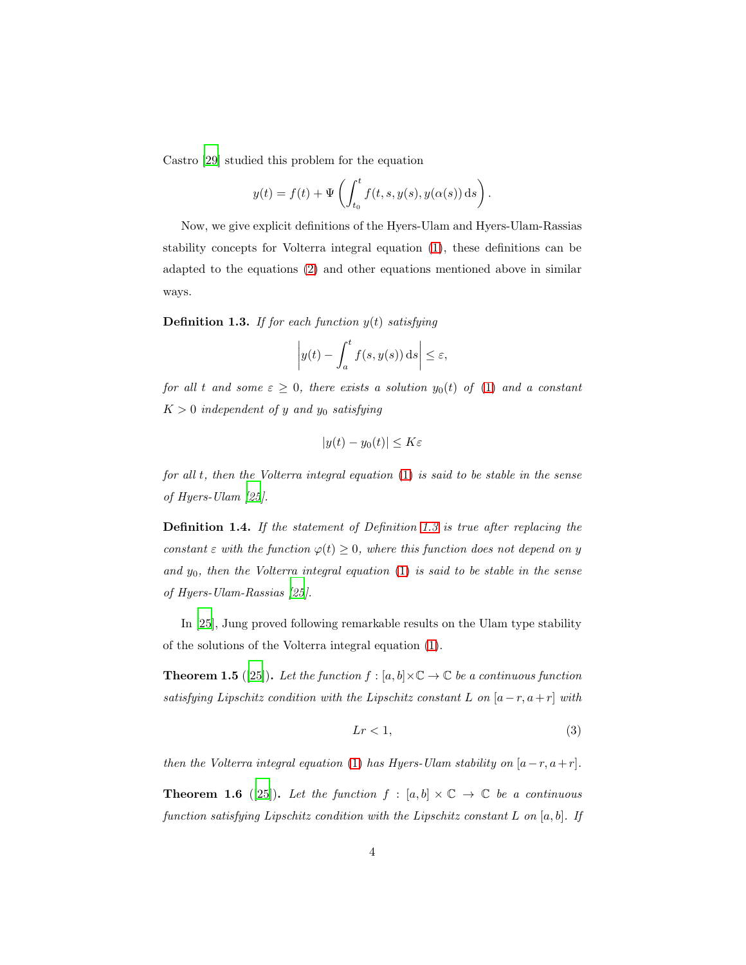Castro [\[29\]](#page-14-7) studied this problem for the equation

$$
y(t) = f(t) + \Psi\left(\int_{t_0}^t f(t, s, y(s), y(\alpha(s)) \, ds\right).
$$

Now, we give explicit definitions of the Hyers-Ulam and Hyers-Ulam-Rassias stability concepts for Volterra integral equation [\(1\)](#page-2-0), these definitions can be adapted to the equations [\(2\)](#page-2-1) and other equations mentioned above in similar ways.

<span id="page-3-0"></span>Definition 1.3. *If for each function* y(t) *satisfying*

$$
\left| y(t) - \int_a^t f(s, y(s)) \, ds \right| \le \varepsilon,
$$

*for all* t *and some*  $\varepsilon \geq 0$ *, there exists a solution*  $y_0(t)$  *of* [\(1\)](#page-2-0) *and* a constant  $K > 0$  *independent of y and y<sub>0</sub> satisfying* 

$$
|y(t) - y_0(t)| \le K\varepsilon
$$

*for all* t*, then the Volterra integral equation* [\(1\)](#page-2-0) *is said to be stable in the sense of Hyers-Ulam [\[25](#page-14-3)].*

<span id="page-3-1"></span>Definition 1.4. *If the statement of Definition [1.3](#page-3-0) is true after replacing the constant*  $\epsilon$  *with the function*  $\varphi(t) \geq 0$ *, where this function does not depend on y and* y0*, then the Volterra integral equation* [\(1\)](#page-2-0) *is said to be stable in the sense of Hyers-Ulam-Rassias [\[25\]](#page-14-3).*

In [\[25\]](#page-14-3), Jung proved following remarkable results on the Ulam type stability of the solutions of the Volterra integral equation [\(1\)](#page-2-0).

**Theorem 1.5** ([\[25](#page-14-3)]). Let the function  $f : [a, b] \times \mathbb{C} \to \mathbb{C}$  be a continuous function *satisfying Lipschitz condition with the Lipschitz constant* L *on*  $[a-r, a+r]$  *with* 

<span id="page-3-2"></span>
$$
Lr < 1,\tag{3}
$$

*then the Volterra integral equation* [\(1\)](#page-2-0) *has Hyers-Ulam stability on*  $[a-r, a+r]$ *.* **Theorem 1.6** ([\[25](#page-14-3)]). Let the function  $f : [a, b] \times \mathbb{C} \rightarrow \mathbb{C}$  be a continuous *function satisfying Lipschitz condition with the Lipschitz constant* L *on* [a, b]*. If*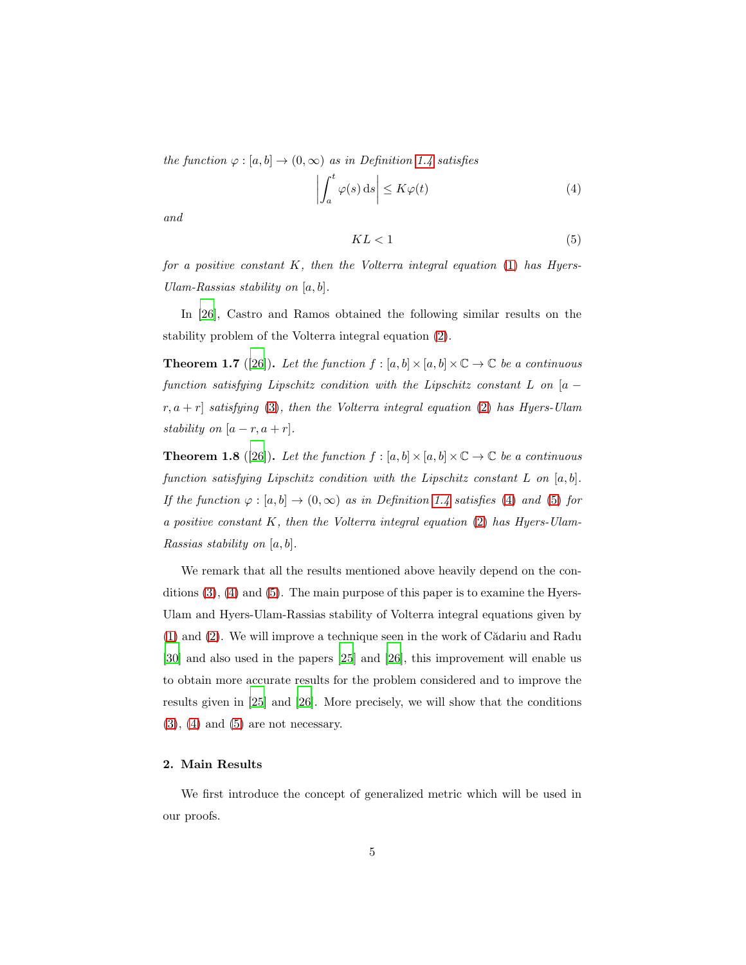*the function*  $\varphi : [a, b] \to (0, \infty)$  *as in Definition [1.4](#page-3-1) satisfies* 

$$
\left| \int_{a}^{t} \varphi(s) \, \mathrm{d}s \right| \le K \varphi(t) \tag{4}
$$

<span id="page-4-1"></span>*and*

<span id="page-4-0"></span>
$$
KL < 1\tag{5}
$$

*for a positive constant* K*, then the Volterra integral equation* [\(1\)](#page-2-0) *has Hyers-Ulam-Rassias stability on* [a, b]*.*

In [\[26\]](#page-14-4), Castro and Ramos obtained the following similar results on the stability problem of the Volterra integral equation [\(2\)](#page-2-1).

**Theorem 1.7** ([\[26\]](#page-14-4)). Let the function  $f : [a, b] \times [a, b] \times \mathbb{C} \to \mathbb{C}$  be a continuous *function satisfying Lipschitz condition with the Lipschitz constant* L *on* [a − r, a + r] *satisfying* [\(3\)](#page-3-2)*, then the Volterra integral equation* [\(2\)](#page-2-1) *has Hyers-Ulam stability on*  $[a - r, a + r]$ *.* 

**Theorem 1.8** ([\[26\]](#page-14-4)). Let the function  $f : [a, b] \times [a, b] \times \mathbb{C} \to \mathbb{C}$  be a continuous *function satisfying Lipschitz condition with the Lipschitz constant* L *on* [a, b]*. If the function*  $\varphi : [a, b] \to (0, \infty)$  *as in Definition [1.4](#page-3-1) satisfies* [\(4\)](#page-4-0) *and* [\(5\)](#page-4-1) *for a positive constant* K*, then the Volterra integral equation* [\(2\)](#page-2-1) *has Hyers-Ulam-Rassias stability on* [a, b]*.*

We remark that all the results mentioned above heavily depend on the conditions [\(3\)](#page-3-2), [\(4\)](#page-4-0) and [\(5\)](#page-4-1). The main purpose of this paper is to examine the Hyers-Ulam and Hyers-Ulam-Rassias stability of Volterra integral equations given by  $(1)$  and  $(2)$ . We will improve a technique seen in the work of Cădariu and Radu [\[30\]](#page-14-8) and also used in the papers [\[25](#page-14-3)] and [\[26\]](#page-14-4), this improvement will enable us to obtain more accurate results for the problem considered and to improve the results given in [\[25\]](#page-14-3) and [\[26](#page-14-4)]. More precisely, we will show that the conditions  $(3)$ ,  $(4)$  and  $(5)$  are not necessary.

# 2. Main Results

We first introduce the concept of generalized metric which will be used in our proofs.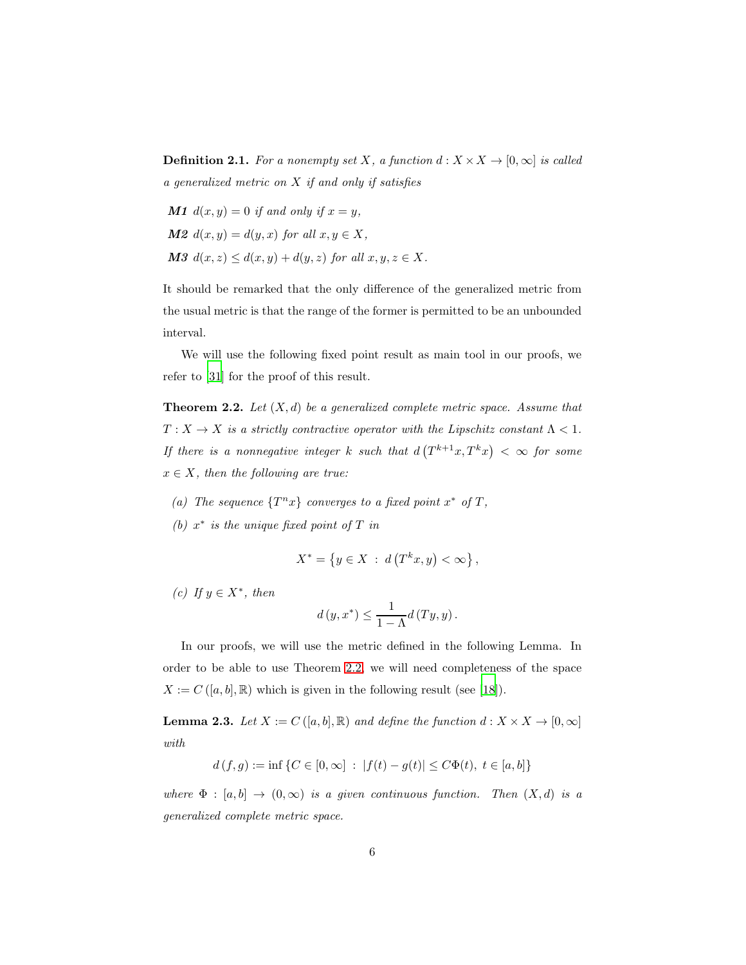**Definition 2.1.** *For a nonempty set* X, a function  $d: X \times X \rightarrow [0, \infty]$  is called *a generalized metric on* X *if and only if satisfies*

\n- **M1** 
$$
d(x, y) = 0
$$
 if and only if  $x = y$ ,
\n- **M2**  $d(x, y) = d(y, x)$  for all  $x, y \in X$ ,
\n- **M3**  $d(x, z) \leq d(x, y) + d(y, z)$  for all  $x, y, z \in X$ .
\n

It should be remarked that the only difference of the generalized metric from the usual metric is that the range of the former is permitted to be an unbounded interval.

We will use the following fixed point result as main tool in our proofs, we refer to [\[31\]](#page-14-9) for the proof of this result.

<span id="page-5-0"></span>Theorem 2.2. *Let* (X, d) *be a generalized complete metric space. Assume that*  $T: X \to X$  *is a strictly contractive operator with the Lipschitz constant*  $\Lambda < 1$ *.* If there is a nonnegative integer k such that  $d(T^{k+1}x, T^kx) < \infty$  for some  $x \in X$ *, then the following are true:* 

- (a) The sequence  $\{T^n x\}$  converges to a fixed point  $x^*$  of T,
- *(b)* x ∗ *is the unique fixed point of* T *in*

$$
X^* = \left\{ y \in X \; : \; d\left(T^k x, y\right) < \infty \right\},
$$

 $(c)$  *If*  $y \in X^*$ *, then* 

$$
d(y, x^*) \le \frac{1}{1 - \Lambda} d(Ty, y).
$$

In our proofs, we will use the metric defined in the following Lemma. In order to be able to use Theorem [2.2,](#page-5-0) we will need completeness of the space  $X := C([a, b], \mathbb{R})$  which is given in the following result (see [\[18\]](#page-13-6)).

<span id="page-5-1"></span>**Lemma 2.3.** Let  $X := C([a, b], \mathbb{R})$  and define the function  $d : X \times X \rightarrow [0, \infty]$ *with*

$$
d(f,g) := \inf \{ C \in [0,\infty] \ : \ |f(t) - g(t)| \le C\Phi(t), \ t \in [a,b] \}
$$

*where*  $\Phi : [a, b] \rightarrow (0, \infty)$  *is a given continuous function. Then*  $(X, d)$  *is a generalized complete metric space.*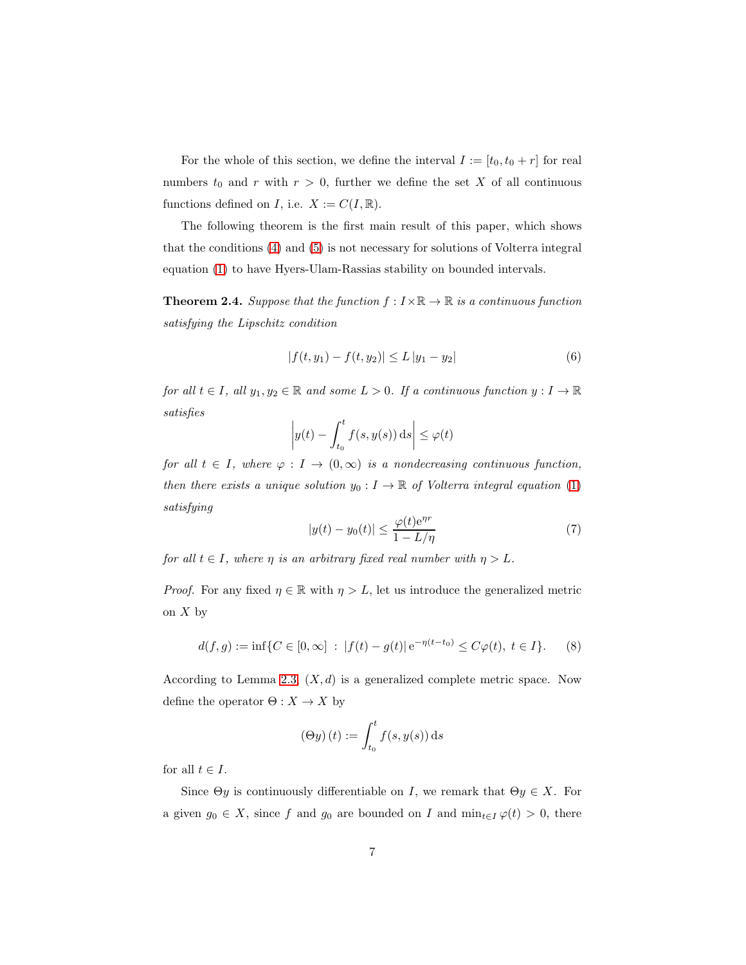For the whole of this section, we define the interval  $I := [t_0, t_0 + r]$  for real numbers  $t_0$  and r with  $r > 0$ , further we define the set X of all continuous functions defined on I, i.e.  $X := C(I, \mathbb{R})$ .

The following theorem is the first main result of this paper, which shows that the conditions [\(4\)](#page-4-0) and [\(5\)](#page-4-1) is not necessary for solutions of Volterra integral equation [\(1\)](#page-2-0) to have Hyers-Ulam-Rassias stability on bounded intervals.

<span id="page-6-1"></span>**Theorem 2.4.** *Suppose that the function*  $f: I \times \mathbb{R} \to \mathbb{R}$  *is a continuous function satisfying the Lipschitz condition*

<span id="page-6-0"></span>
$$
|f(t, y_1) - f(t, y_2)| \le L |y_1 - y_2| \tag{6}
$$

*for all*  $t \in I$ *, all*  $y_1, y_2 \in \mathbb{R}$  *and some*  $L > 0$ *. If a continuous function*  $y: I \to \mathbb{R}$ *satisfies*

$$
\left| y(t) - \int_{t_0}^t f(s, y(s)) \, ds \right| \leq \varphi(t)
$$

<span id="page-6-2"></span>*for all*  $t \in I$ *, where*  $\varphi : I \to (0, \infty)$  *is a nondecreasing continuous function, then there exists a unique solution*  $y_0: I \to \mathbb{R}$  of Volterra integral equation [\(1\)](#page-2-0) *satisfying*

$$
|y(t) - y_0(t)| \le \frac{\varphi(t)e^{\eta r}}{1 - L/\eta}
$$
\n<sup>(7)</sup>

*for all*  $t \in I$ *, where*  $\eta$  *is an arbitrary fixed real number with*  $\eta > L$ *.* 

*Proof.* For any fixed  $\eta \in \mathbb{R}$  with  $\eta > L$ , let us introduce the generalized metric on  $X$  by

<span id="page-6-3"></span>
$$
d(f,g) := \inf\{C \in [0,\infty] \ : \ |f(t) - g(t)| \,\mathrm{e}^{-\eta(t - t_0)} \le C\varphi(t), \ t \in I\}.\tag{8}
$$

According to Lemma [2.3,](#page-5-1)  $(X, d)$  is a generalized complete metric space. Now define the operator  $\Theta: X \to X$  by

$$
(\Theta y)(t) := \int_{t_0}^t f(s, y(s)) \, \mathrm{d}s
$$

for all  $t \in I$ .

Since  $\Theta y$  is continuously differentiable on I, we remark that  $\Theta y \in X$ . For a given  $g_0 \in X$ , since f and  $g_0$  are bounded on I and  $\min_{t \in I} \varphi(t) > 0$ , there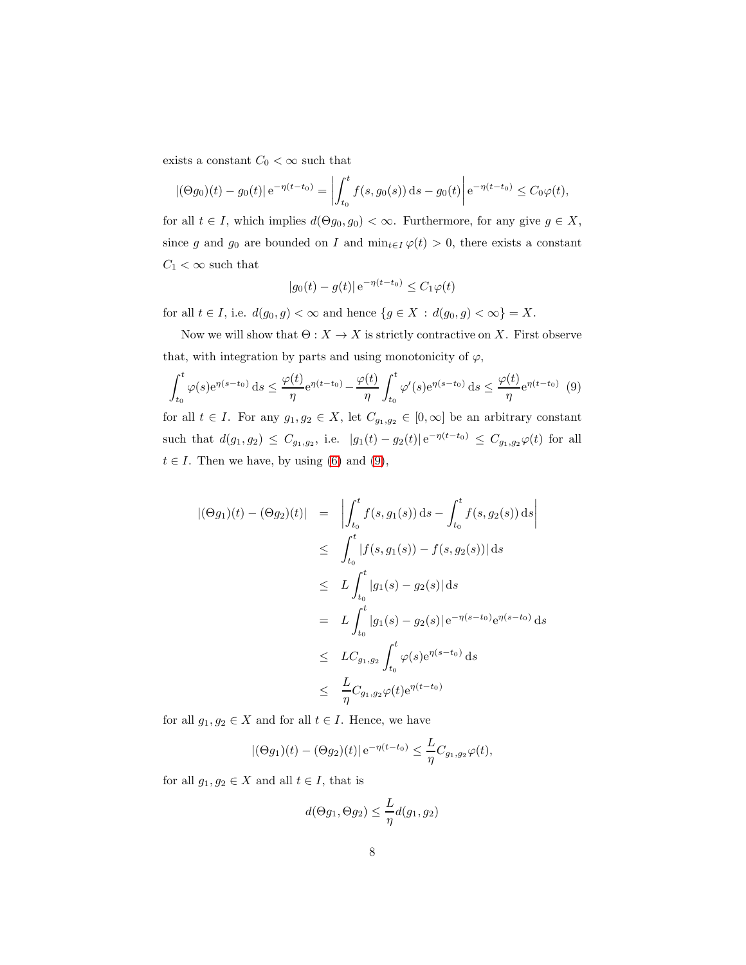exists a constant  $C_0<\infty$  such that

$$
|(\Theta g_0)(t) - g_0(t)| e^{-\eta(t - t_0)} = \left| \int_{t_0}^t f(s, g_0(s)) ds - g_0(t) \right| e^{-\eta(t - t_0)} \le C_0 \varphi(t),
$$

for all  $t \in I$ , which implies  $d(\Theta g_0, g_0) < \infty$ . Furthermore, for any give  $g \in X$ , since g and  $g_0$  are bounded on I and  $\min_{t\in I}\varphi(t) > 0$ , there exists a constant  $C_1 < \infty$  such that

<span id="page-7-0"></span>
$$
|g_0(t) - g(t)| e^{-\eta(t - t_0)} \le C_1 \varphi(t)
$$

for all  $t \in I$ , i.e.  $d(g_0, g) < \infty$  and hence  $\{g \in X \, : \, d(g_0, g) < \infty\} = X$ .

Now we will show that  $\Theta: X \to X$  is strictly contractive on X. First observe that, with integration by parts and using monotonicity of  $\varphi$ ,

$$
\int_{t_0}^t \varphi(s) e^{\eta(s-t_0)} ds \le \frac{\varphi(t)}{\eta} e^{\eta(t-t_0)} - \frac{\varphi(t)}{\eta} \int_{t_0}^t \varphi'(s) e^{\eta(s-t_0)} ds \le \frac{\varphi(t)}{\eta} e^{\eta(t-t_0)} \tag{9}
$$

for all  $t \in I$ . For any  $g_1, g_2 \in X$ , let  $C_{g_1, g_2} \in [0, \infty]$  be an arbitrary constant such that  $d(g_1, g_2) \leq C_{g_1, g_2}$ , i.e.  $|g_1(t) - g_2(t)| e^{-\eta(t-t_0)} \leq C_{g_1, g_2} \varphi(t)$  for all  $t \in I$ . Then we have, by using [\(6\)](#page-6-0) and [\(9\)](#page-7-0),

$$
|(\Theta g_1)(t) - (\Theta g_2)(t)| = \left| \int_{t_0}^t f(s, g_1(s)) ds - \int_{t_0}^t f(s, g_2(s)) ds \right|
$$
  
\n
$$
\leq \int_{t_0}^t |f(s, g_1(s)) - f(s, g_2(s))| ds
$$
  
\n
$$
\leq L \int_{t_0}^t |g_1(s) - g_2(s)| ds
$$
  
\n
$$
= L \int_{t_0}^t |g_1(s) - g_2(s)| e^{-\eta(s - t_0)} e^{\eta(s - t_0)} ds
$$
  
\n
$$
\leq LC_{g_1, g_2} \int_{t_0}^t \varphi(s) e^{\eta(s - t_0)} ds
$$
  
\n
$$
\leq \frac{L}{\eta} C_{g_1, g_2} \varphi(t) e^{\eta(t - t_0)}
$$

for all  $g_1, g_2 \in X$  and for all  $t \in I$ . Hence, we have

$$
|(\Theta g_1)(t) - (\Theta g_2)(t)| e^{-\eta(t-t_0)} \leq \frac{L}{\eta} C_{g_1, g_2} \varphi(t),
$$

for all  $g_1, g_2 \in X$  and all  $t \in I$ , that is

$$
d(\Theta g_1, \Theta g_2) \le \frac{L}{\eta} d(g_1, g_2)
$$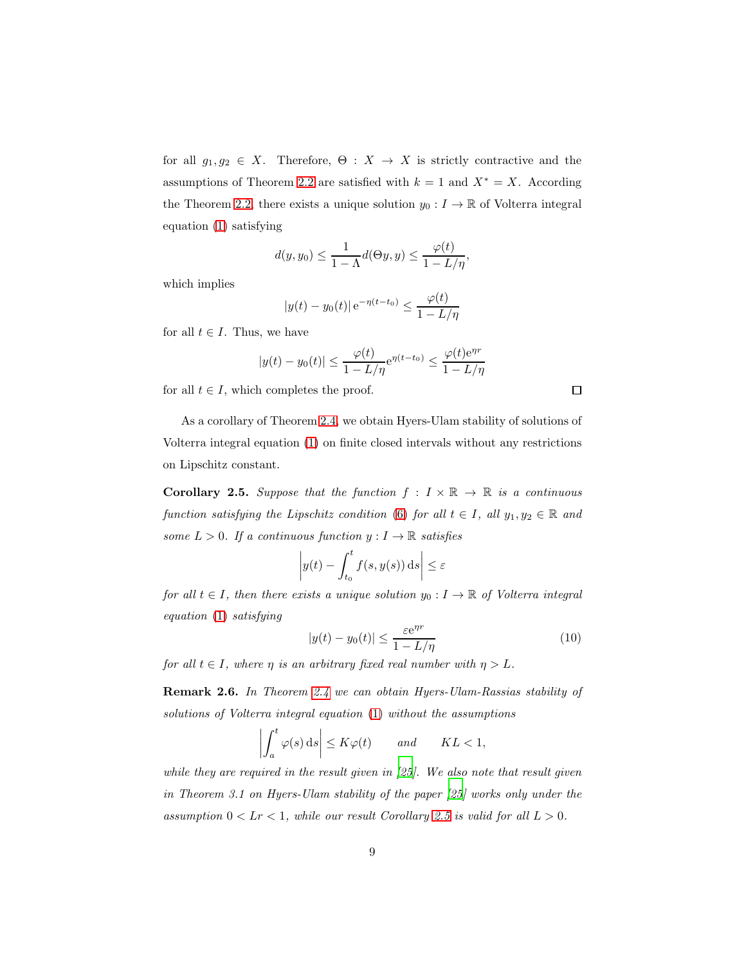for all  $g_1, g_2 \in X$ . Therefore,  $\Theta : X \to X$  is strictly contractive and the assumptions of Theorem [2.2](#page-5-0) are satisfied with  $k = 1$  and  $X^* = X$ . According the Theorem [2.2,](#page-5-0) there exists a unique solution  $y_0: I \to \mathbb{R}$  of Volterra integral equation [\(1\)](#page-2-0) satisfying

$$
d(y, y_0) \le \frac{1}{1 - \Lambda} d(\Theta y, y) \le \frac{\varphi(t)}{1 - L/\eta},
$$

which implies

$$
|y(t) - y_0(t)| e^{-\eta(t - t_0)} \le \frac{\varphi(t)}{1 - L/\eta}
$$

for all  $t \in I$ . Thus, we have

$$
|y(t) - y_0(t)| \le \frac{\varphi(t)}{1 - L/\eta} e^{\eta(t - t_0)} \le \frac{\varphi(t) e^{\eta r}}{1 - L/\eta}
$$

for all  $t \in I$ , which completes the proof.

As a corollary of Theorem [2.4,](#page-6-1) we obtain Hyers-Ulam stability of solutions of Volterra integral equation [\(1\)](#page-2-0) on finite closed intervals without any restrictions on Lipschitz constant.

<span id="page-8-0"></span>**Corollary 2.5.** Suppose that the function  $f: I \times \mathbb{R} \to \mathbb{R}$  is a continuous *function satisfying the Lipschitz condition* [\(6\)](#page-6-0) *for all*  $t \in I$ *, all*  $y_1, y_2 \in \mathbb{R}$  *and some*  $L > 0$ *. If a continuous function*  $y: I \to \mathbb{R}$  *satisfies* 

$$
\left| y(t) - \int_{t_0}^t f(s, y(s)) \, \mathrm{d} s \right| \le \varepsilon
$$

*for all*  $t \in I$ *, then there exists a unique solution*  $y_0: I \to \mathbb{R}$  *of Volterra integral equation* [\(1\)](#page-2-0) *satisfying*

<span id="page-8-1"></span>
$$
|y(t) - y_0(t)| \le \frac{\varepsilon e^{\eta r}}{1 - L/\eta}
$$
 (10)

*for all*  $t \in I$ *, where*  $\eta$  *is an arbitrary fixed real number with*  $\eta > L$ *.* 

Remark 2.6. *In Theorem [2.4](#page-6-1) we can obtain Hyers-Ulam-Rassias stability of solutions of Volterra integral equation* [\(1\)](#page-2-0) *without the assumptions*

$$
\left| \int_a^t \varphi(s) \, ds \right| \le K\varphi(t) \qquad and \qquad KL < 1,
$$

*while they are required in the result given in [\[25](#page-14-3)]. We also note that result given in Theorem 3.1 on Hyers-Ulam stability of the paper [\[25](#page-14-3)] works only under the assumption*  $0 < Lr < 1$ *, while our result Corollary [2.5](#page-8-0) is valid for all*  $L > 0$ *.* 

 $\Box$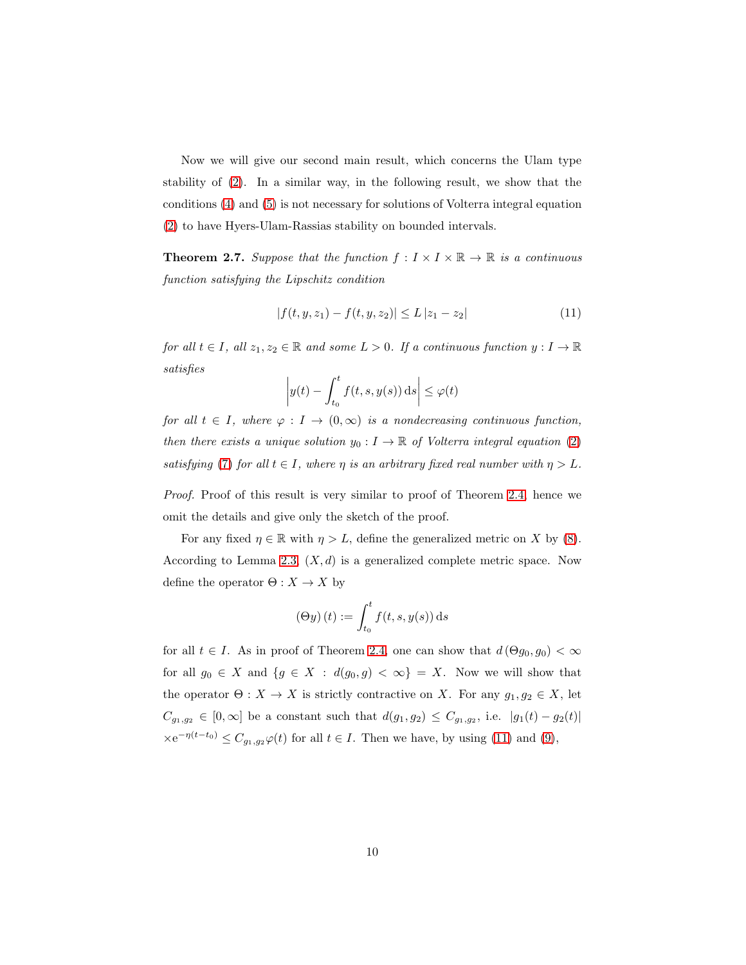Now we will give our second main result, which concerns the Ulam type stability of [\(2\)](#page-2-1). In a similar way, in the following result, we show that the conditions [\(4\)](#page-4-0) and [\(5\)](#page-4-1) is not necessary for solutions of Volterra integral equation [\(2\)](#page-2-1) to have Hyers-Ulam-Rassias stability on bounded intervals.

<span id="page-9-1"></span>**Theorem 2.7.** Suppose that the function  $f: I \times I \times \mathbb{R} \to \mathbb{R}$  is a continuous *function satisfying the Lipschitz condition*

<span id="page-9-0"></span>
$$
|f(t, y, z_1) - f(t, y, z_2)| \le L |z_1 - z_2| \tag{11}
$$

*for all*  $t \in I$ *, all*  $z_1, z_2 \in \mathbb{R}$  *and some*  $L > 0$ *. If a continuous function*  $y: I \to \mathbb{R}$ *satisfies*

$$
\left| y(t) - \int_{t_0}^t f(t, s, y(s)) \, ds \right| \le \varphi(t)
$$

*for all*  $t \in I$ *, where*  $\varphi : I \to (0, \infty)$  *is a nondecreasing continuous function, then there exists a unique solution*  $y_0: I \to \mathbb{R}$  of Volterra integral equation [\(2\)](#page-2-1) *satisfying* [\(7\)](#page-6-2) *for all*  $t \in I$ *, where*  $\eta$  *is an arbitrary fixed real number with*  $\eta > L$ *.* 

*Proof.* Proof of this result is very similar to proof of Theorem [2.4,](#page-6-1) hence we omit the details and give only the sketch of the proof.

For any fixed  $\eta \in \mathbb{R}$  with  $\eta > L$ , define the generalized metric on X by [\(8\)](#page-6-3). According to Lemma [2.3,](#page-5-1)  $(X, d)$  is a generalized complete metric space. Now define the operator  $\Theta: X \to X$  by

$$
(\Theta y)(t) := \int_{t_0}^t f(t, s, y(s)) \, \mathrm{d}s
$$

for all  $t \in I$ . As in proof of Theorem [2.4,](#page-6-1) one can show that  $d(\Theta g_0, g_0) < \infty$ for all  $g_0 \in X$  and  $\{g \in X : d(g_0, g) < \infty\} = X$ . Now we will show that the operator  $\Theta: X \to X$  is strictly contractive on X. For any  $g_1, g_2 \in X$ , let  $C_{g_1,g_2} \in [0,\infty]$  be a constant such that  $d(g_1,g_2) \leq C_{g_1,g_2}$ , i.e.  $|g_1(t) - g_2(t)|$  $\times e^{-\eta(t-t_0)} \leq C_{g_1,g_2} \varphi(t)$  for all  $t \in I$ . Then we have, by using [\(11\)](#page-9-0) and [\(9\)](#page-7-0),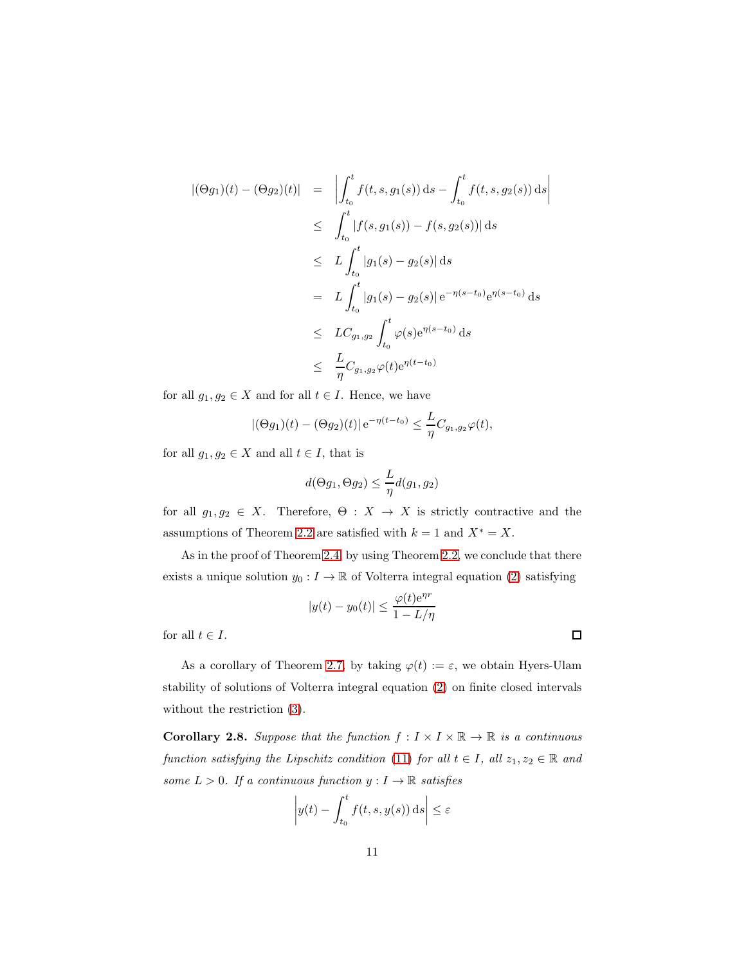$$
|(\Theta g_1)(t) - (\Theta g_2)(t)| = \left| \int_{t_0}^t f(t, s, g_1(s)) ds - \int_{t_0}^t f(t, s, g_2(s)) ds \right|
$$
  
\n
$$
\leq \int_{t_0}^t |f(s, g_1(s)) - f(s, g_2(s))| ds
$$
  
\n
$$
\leq L \int_{t_0}^t |g_1(s) - g_2(s)| ds
$$
  
\n
$$
= L \int_{t_0}^t |g_1(s) - g_2(s)| e^{-\eta(s - t_0)} e^{\eta(s - t_0)} ds
$$
  
\n
$$
\leq LC_{g_1, g_2} \int_{t_0}^t \varphi(s) e^{\eta(s - t_0)} ds
$$
  
\n
$$
\leq \frac{L}{\eta} C_{g_1, g_2} \varphi(t) e^{\eta(t - t_0)}
$$

for all  $g_1, g_2 \in X$  and for all  $t \in I$ . Hence, we have

$$
|(\Theta g_1)(t) - (\Theta g_2)(t)| e^{-\eta(t-t_0)} \leq \frac{L}{\eta} C_{g_1, g_2} \varphi(t),
$$

for all  $g_1, g_2 \in X$  and all  $t \in I$ , that is

$$
d(\Theta g_1, \Theta g_2) \le \frac{L}{\eta} d(g_1, g_2)
$$

for all  $g_1, g_2 \in X$ . Therefore,  $\Theta : X \to X$  is strictly contractive and the assumptions of Theorem [2.2](#page-5-0) are satisfied with  $k = 1$  and  $X^* = X$ .

As in the proof of Theorem [2.4,](#page-6-1) by using Theorem [2.2,](#page-5-0) we conclude that there exists a unique solution  $y_0 : I \to \mathbb{R}$  of Volterra integral equation [\(2\)](#page-2-1) satisfying

$$
|y(t) - y_0(t)| \le \frac{\varphi(t)e^{\eta r}}{1 - L/\eta}
$$

 $\Box$ 

for all  $t \in I$ .

As a corollary of Theorem [2.7,](#page-9-1) by taking  $\varphi(t) := \varepsilon$ , we obtain Hyers-Ulam stability of solutions of Volterra integral equation [\(2\)](#page-2-1) on finite closed intervals without the restriction [\(3\)](#page-3-2).

**Corollary 2.8.** Suppose that the function  $f: I \times I \times \mathbb{R} \to \mathbb{R}$  is a continuous *function satisfying the Lipschitz condition* [\(11\)](#page-9-0) *for all*  $t \in I$ *, all*  $z_1, z_2 \in \mathbb{R}$  *and some*  $L > 0$ *. If a continuous function*  $y: I \to \mathbb{R}$  *satisfies* 

$$
\left| y(t) - \int_{t_0}^t f(t, s, y(s)) \, ds \right| \le \varepsilon
$$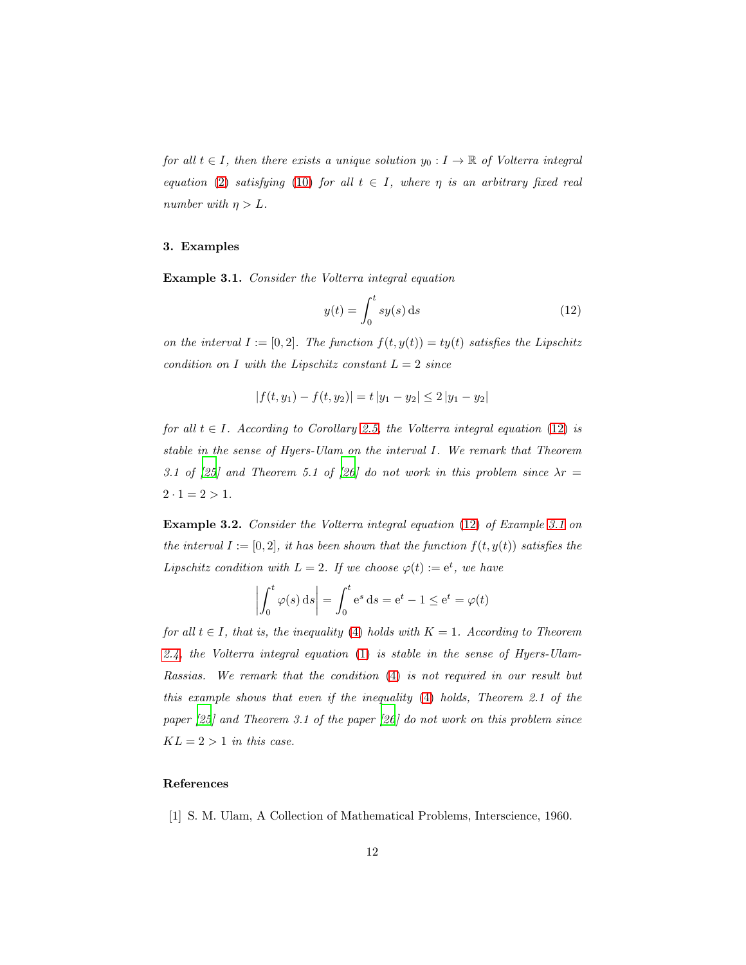*for all*  $t \in I$ *, then there exists a unique solution*  $y_0: I \to \mathbb{R}$  *of Volterra integral equation* [\(2\)](#page-2-1) *satisfying* [\(10\)](#page-8-1) *for all*  $t \in I$ *, where*  $\eta$  *is an arbitrary fixed real number with*  $\eta > L$ .

# 3. Examples

<span id="page-11-2"></span>Example 3.1. *Consider the Volterra integral equation*

<span id="page-11-1"></span>
$$
y(t) = \int_0^t sy(s) \, \mathrm{d}s \tag{12}
$$

*on the interval*  $I := [0, 2]$ *. The function*  $f(t, y(t)) = ty(t)$  *satisfies the Lipschitz condition on* I with the Lipschitz constant  $L = 2$  *since* 

$$
|f(t, y_1) - f(t, y_2)| = t |y_1 - y_2| \le 2 |y_1 - y_2|
$$

*for all*  $t \in I$ *. According to Corollary [2.5,](#page-8-0) the Volterra integral equation* [\(12\)](#page-11-1) *is stable in the sense of Hyers-Ulam on the interval* I*. We remark that Theorem 3.1 of* [\[25](#page-14-3)] and Theorem 5.1 of [\[26](#page-14-4)] do not work in this problem since  $\lambda r =$  $2 \cdot 1 = 2 > 1$ .

Example 3.2. *Consider the Volterra integral equation* [\(12\)](#page-11-1) *of Example [3.1](#page-11-2) on the interval*  $I := [0, 2]$ *, it has been shown that the function*  $f(t, y(t))$  *satisfies the Lipschitz condition with*  $L = 2$ *. If we choose*  $\varphi(t) := e^t$ *, we have* 

$$
\left| \int_0^t \varphi(s) \, ds \right| = \int_0^t e^s \, ds = e^t - 1 \le e^t = \varphi(t)
$$

*for all*  $t \in I$ *, that is, the inequality* [\(4\)](#page-4-0) *holds with*  $K = 1$ *. According to Theorem [2.4,](#page-6-1) the Volterra integral equation* [\(1\)](#page-2-0) *is stable in the sense of Hyers-Ulam-Rassias. We remark that the condition* [\(4\)](#page-4-0) *is not required in our result but this example shows that even if the inequality* [\(4\)](#page-4-0) *holds, Theorem 2.1 of the paper [\[25](#page-14-3)] and Theorem 3.1 of the paper [\[26](#page-14-4)] do not work on this problem since*  $KL = 2 > 1$  *in this case.* 

# References

<span id="page-11-0"></span>[1] S. M. Ulam, A Collection of Mathematical Problems, Interscience, 1960.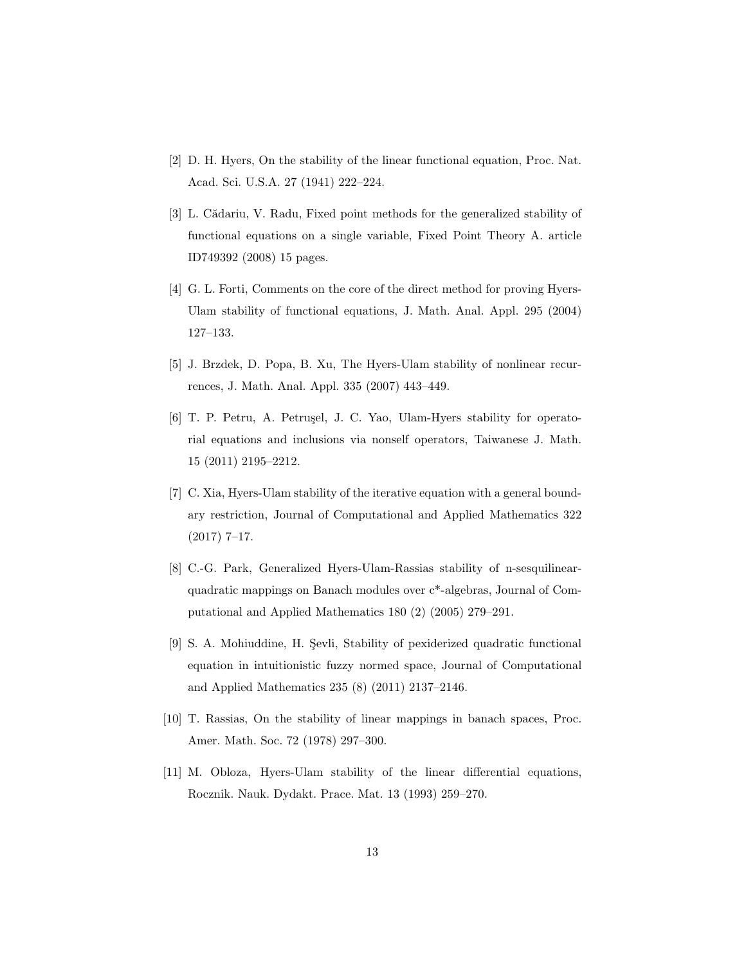- <span id="page-12-0"></span>[2] D. H. Hyers, On the stability of the linear functional equation, Proc. Nat. Acad. Sci. U.S.A. 27 (1941) 222–224.
- <span id="page-12-1"></span>[3] L. Cădariu, V. Radu, Fixed point methods for the generalized stability of functional equations on a single variable, Fixed Point Theory A. article ID749392 (2008) 15 pages.
- <span id="page-12-2"></span>[4] G. L. Forti, Comments on the core of the direct method for proving Hyers-Ulam stability of functional equations, J. Math. Anal. Appl. 295 (2004) 127–133.
- <span id="page-12-3"></span>[5] J. Brzdek, D. Popa, B. Xu, The Hyers-Ulam stability of nonlinear recurrences, J. Math. Anal. Appl. 335 (2007) 443–449.
- <span id="page-12-4"></span>[6] T. P. Petru, A. Petrusel, J. C. Yao, Ulam-Hyers stability for operatorial equations and inclusions via nonself operators, Taiwanese J. Math. 15 (2011) 2195–2212.
- <span id="page-12-5"></span>[7] C. Xia, Hyers-Ulam stability of the iterative equation with a general boundary restriction, Journal of Computational and Applied Mathematics 322 (2017) 7–17.
- <span id="page-12-6"></span>[8] C.-G. Park, Generalized Hyers-Ulam-Rassias stability of n-sesquilinearquadratic mappings on Banach modules over c\*-algebras, Journal of Computational and Applied Mathematics 180 (2) (2005) 279–291.
- <span id="page-12-7"></span>[9] S. A. Mohiuddine, H. Sevli, Stability of pexiderized quadratic functional equation in intuitionistic fuzzy normed space, Journal of Computational and Applied Mathematics 235 (8) (2011) 2137–2146.
- <span id="page-12-8"></span>[10] T. Rassias, On the stability of linear mappings in banach spaces, Proc. Amer. Math. Soc. 72 (1978) 297–300.
- <span id="page-12-9"></span>[11] M. Obloza, Hyers-Ulam stability of the linear differential equations, Rocznik. Nauk. Dydakt. Prace. Mat. 13 (1993) 259–270.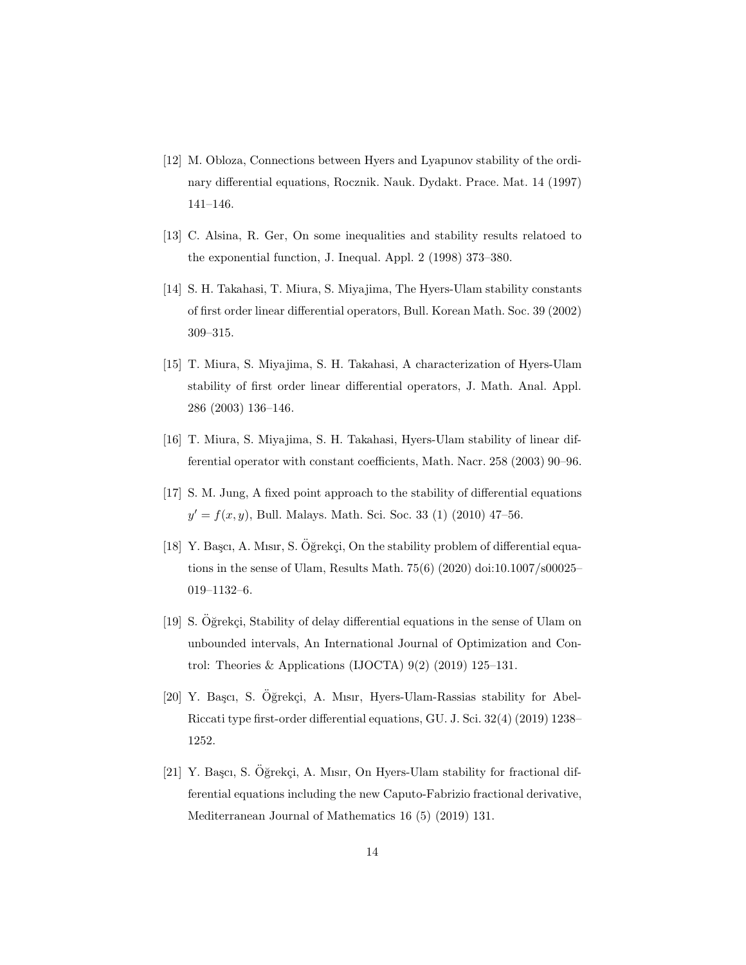- <span id="page-13-0"></span>[12] M. Obloza, Connections between Hyers and Lyapunov stability of the ordinary differential equations, Rocznik. Nauk. Dydakt. Prace. Mat. 14 (1997) 141–146.
- <span id="page-13-1"></span>[13] C. Alsina, R. Ger, On some inequalities and stability results relatoed to the exponential function, J. Inequal. Appl. 2 (1998) 373–380.
- <span id="page-13-2"></span>[14] S. H. Takahasi, T. Miura, S. Miyajima, The Hyers-Ulam stability constants of first order linear differential operators, Bull. Korean Math. Soc. 39 (2002) 309–315.
- <span id="page-13-3"></span>[15] T. Miura, S. Miyajima, S. H. Takahasi, A characterization of Hyers-Ulam stability of first order linear differential operators, J. Math. Anal. Appl. 286 (2003) 136–146.
- <span id="page-13-4"></span>[16] T. Miura, S. Miyajima, S. H. Takahasi, Hyers-Ulam stability of linear differential operator with constant coefficients, Math. Nacr. 258 (2003) 90–96.
- <span id="page-13-5"></span>[17] S. M. Jung, A fixed point approach to the stability of differential equations  $y' = f(x, y)$ , Bull. Malays. Math. Sci. Soc. 33 (1) (2010) 47-56.
- <span id="page-13-6"></span>[18] Y. Başçı, A. Mısır, S. Öğrekçi, On the stability problem of differential equations in the sense of Ulam, Results Math. 75(6) (2020) doi:10.1007/s00025– 019–1132–6.
- <span id="page-13-7"></span>[19] S. Oğrekçi, Stability of delay differential equations in the sense of Ulam on unbounded intervals, An International Journal of Optimization and Control: Theories & Applications (IJOCTA)  $9(2)$   $(2019)$   $125-131$ .
- <span id="page-13-8"></span>[20] Y. Başcı, S. Oğrekçi, A. Mısır, Hyers-Ulam-Rassias stability for Abel-Riccati type first-order differential equations, GU. J. Sci. 32(4) (2019) 1238– 1252.
- <span id="page-13-9"></span> $[21]$  Y. Başcı, S. Öğrekçi, A. Mısır, On Hyers-Ulam stability for fractional differential equations including the new Caputo-Fabrizio fractional derivative, Mediterranean Journal of Mathematics 16 (5) (2019) 131.